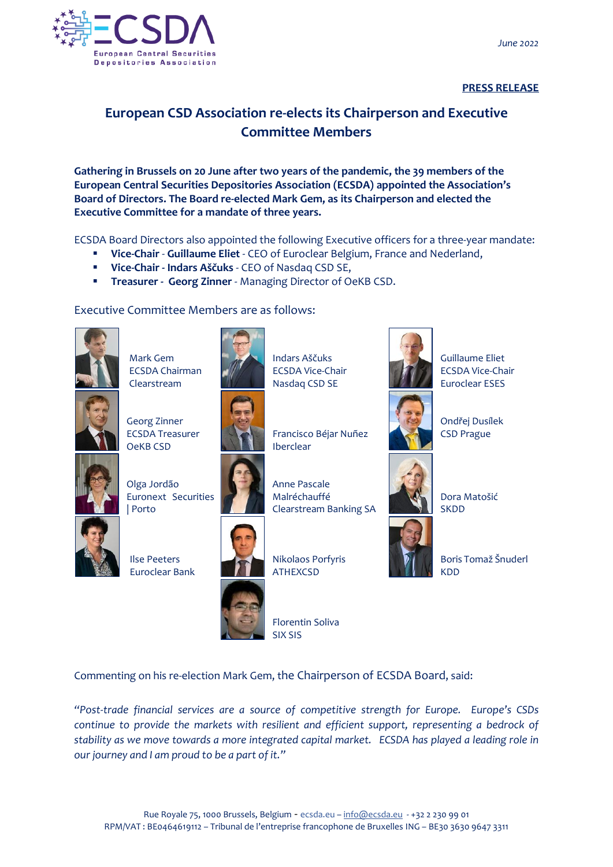

## **PRESS RELEASE**

## **European CSD Association re-elects its Chairperson and Executive Committee Members**

**Gathering in Brussels on 20 June after two years of the pandemic, the 39 members of the European Central Securities Depositories Association (ECSDA) appointed the Association's Board of Directors. The Board re-elected Mark Gem, as its Chairperson and elected the Executive Committee for a mandate of three years.**

ECSDA Board Directors also appointed the following Executive officers for a three-year mandate:

- **Vice-Chair Guillaume Eliet** CEO of Euroclear Belgium, France and Nederland,
- **Vice-Chair - Indars Aščuks** CEO of Nasdaq CSD SE,
- **Treasurer - Georg Zinner** Managing Director of OeKB CSD.

Executive Committee Members are as follows:



Mark Gem ECSDA Chairman Clearstream



Georg Zinner ECSDA Treasurer OeKB CSD



Olga Jordão Euronext Securities | Porto



Ilse Peeters Euroclear Bank



Indars Aščuks ECSDA Vice-Chair



Nasdaq CSD SE

Francisco Béjar Nuñez Iberclear

Anne Pascale Malréchauffé Clearstream Banking SA



Nikolaos Porfyris ATHEXCSD

Florentin Soliva SIX SIS



Guillaume Eliet ECSDA Vice-Chair Euroclear ESES



Ondřej Dusílek CSD Prague



Dora Matošić **SKDD** 

Boris Tomaž Šnuderl KDD

Commenting on his re-election Mark Gem, the Chairperson of ECSDA Board, said:

*"Post-trade financial services are a source of competitive strength for Europe. Europe's CSDs continue to provide the markets with resilient and efficient support, representing a bedrock of stability as we move towards a more integrated capital market. ECSDA has played a leading role in our journey and I am proud to be a part of it."*